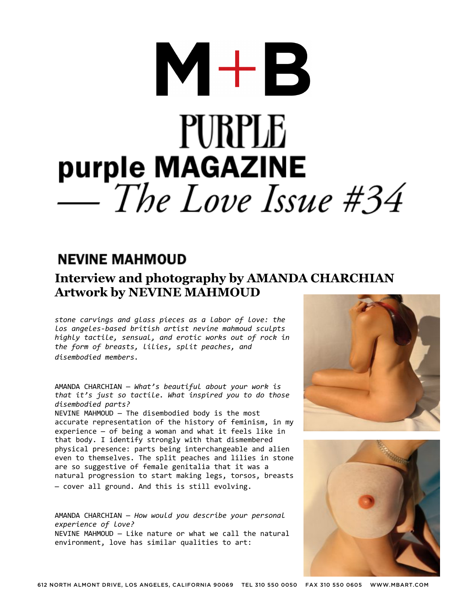# $M+B$ **PURPLE** purple MAGAZINE<br>— The Love Issue #34

#### **NEVINE MAHMOUD**

#### **Interview and photography by AMANDA CHARCHIAN Artwork by NEVINE MAHMOUD**

*stone carvings and glass pieces as a labor of love: the los angeles-based british artist nevine mahmoud sculpts highly tactile, sensual, and erotic works out of rock in the form of breasts, lilies, split peaches, and disembodied members.*

AMANDA CHARCHIAN — *What's beautiful about your work is that it's just so tactile. What inspired you to do those disembodied parts?*

NEVINE MAHMOUD — The disembodied body is the most accurate representation of the history of feminism, in my experience — of being a woman and what it feels like in that body. I identify strongly with that dismembered physical presence: parts being interchangeable and alien even to themselves. The split peaches and lilies in stone are so suggestive of female genitalia that it was a natural progression to start making legs, torsos, breasts — cover all ground. And this is still evolving.

AMANDA CHARCHIAN — *How would you describe your personal experience of love?* NEVINE MAHMOUD — Like nature or what we call the natural environment, love has similar qualities to art:



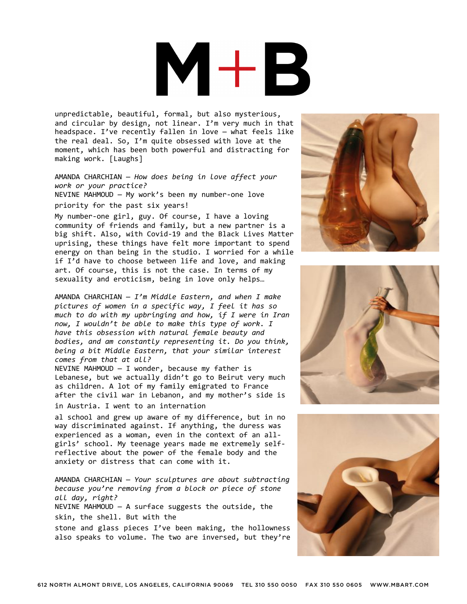### $\mathbf{H} + \mathbf{R}$ V

unpredictable, beautiful, formal, but also mysterious, and circular by design, not linear. I'm very much in that headspace. I've recently fallen in love — what feels like the real deal. So, I'm quite obsessed with love at the moment, which has been both powerful and distracting for making work. [Laughs]

AMANDA CHARCHIAN — *How does being in love affect your work or your practice?* NEVINE MAHMOUD — My work's been my number-one love priority for the past six years!

My number-one girl, guy. Of course, I have a loving community of friends and family, but a new partner is a big shift. Also, with Covid-19 and the Black Lives Matter uprising, these things have felt more important to spend energy on than being in the studio. I worried for a while if I'd have to choose between life and love, and making art. Of course, this is not the case. In terms of my sexuality and eroticism, being in love only helps…

AMANDA CHARCHIAN — *I'm Middle Eastern, and when I make pictures of women in a specific way, I feel it has so much to do with my upbringing and how, if I were in Iran now, I wouldn't be able to make this type of work. I have this obsession with natural female beauty and bodies, and am constantly representing it. Do you think, being a bit Middle Eastern, that your similar interest comes from that at all?*

NEVINE MAHMOUD  $-$  I wonder, because my father is Lebanese, but we actually didn't go to Beirut very much as children. A lot of my family emigrated to France after the civil war in Lebanon, and my mother's side is in Austria. I went to an internation

al school and grew up aware of my difference, but in no way discriminated against. If anything, the duress was experienced as a woman, even in the context of an allgirls' school. My teenage years made me extremely selfreflective about the power of the female body and the anxiety or distress that can come with it.

AMANDA CHARCHIAN — *Your sculptures are about subtracting because you're removing from a block or piece of stone all day, right?* NEVINE MAHMOUD — A surface suggests the outside, the skin, the shell. But with the stone and glass pieces I've been making, the hollowness also speaks to volume. The two are inversed, but they're





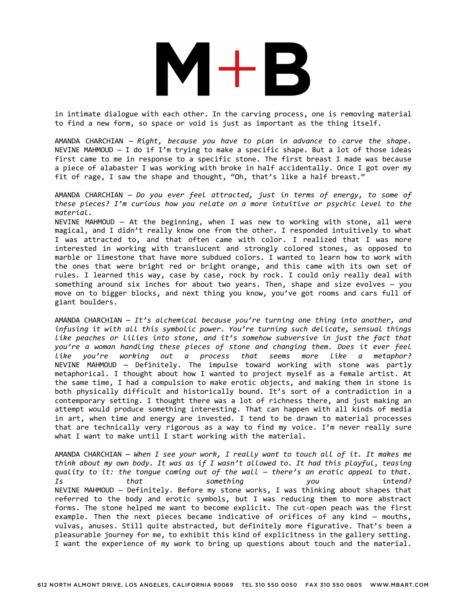

in intimate dialogue with each other. In the carving process, one is removing material to find a new form, so space or void is just as important as the thing itself.

AMANDA CHARCHIAN — *Right, because you have to plan in advance to carve the shape.* NEVINE MAHMOUD — I do if I'm trying to make a specific shape. But a lot of those ideas first came to me in response to a specific stone. The first breast I made was because a piece of alabaster I was working with broke in half accidentally. Once I got over my fit of rage, I saw the shape and thought, "Oh, that's like a half breast."

AMANDA CHARCHIAN — *Do you ever feel attracted, just in terms of energy, to some of these pieces? I'm curious how you relate on a more intuitive or psychic level to the material.*

NEVINE MAHMOUD — At the beginning, when I was new to working with stone, all were magical, and I didn't really know one from the other. I responded intuitively to what I was attracted to, and that often came with color. I realized that I was more interested in working with translucent and strongly colored stones, as opposed to marble or limestone that have more subdued colors. I wanted to learn how to work with the ones that were bright red or bright orange, and this came with its own set of rules. I learned this way, case by case, rock by rock. I could only really deal with something around six inches for about two years. Then, shape and size evolves — you move on to bigger blocks, and next thing you know, you've got rooms and cars full of giant boulders.

AMANDA CHARCHIAN — *It's alchemical because you're turning one thing into another, and infusing it with all this symbolic power. You're turning such delicate, sensual things like peaches or lilies into stone, and it's somehow subversive in just the fact that you're a woman handling these pieces of stone and changing them. Does it ever feel like you're working out a process that seems more like a metaphor?* NEVINE MAHMOUD — Definitely. The impulse toward working with stone was partly metaphorical. I thought about how I wanted to project myself as a female artist. At the same time, I had a compulsion to make erotic objects, and making them in stone is both physically difficult and historically bound. It's sort of a contradiction in a contemporary setting. I thought there was a lot of richness there, and just making an attempt would produce something interesting. That can happen with all kinds of media in art, when time and energy are invested. I tend to be drawn to material processes that are technically very rigorous as a way to find my voice. I'm never really sure what I want to make until I start working with the material.

AMANDA CHARCHIAN — *When I see your work, I really want to touch all of it. It makes me think about my own body. It was as if I wasn't allowed to. It had this playful, teasing quality to it: the tongue coming out of the wall — there's an erotic appeal to that. Is that something you intend?* NEVINE MAHMOUD — Definitely. Before my stone works, I was thinking about shapes that referred to the body and erotic symbols, but I was reducing them to more abstract forms. The stone helped me want to become explicit. The cut-open peach was the first example. Then the next pieces became indicative of orifices of any kind — mouths, vulvas, anuses. Still quite abstracted, but definitely more figurative. That's been a pleasurable journey for me, to exhibit this kind of explicitness in the gallery setting. I want the experience of my work to bring up questions about touch and the material.